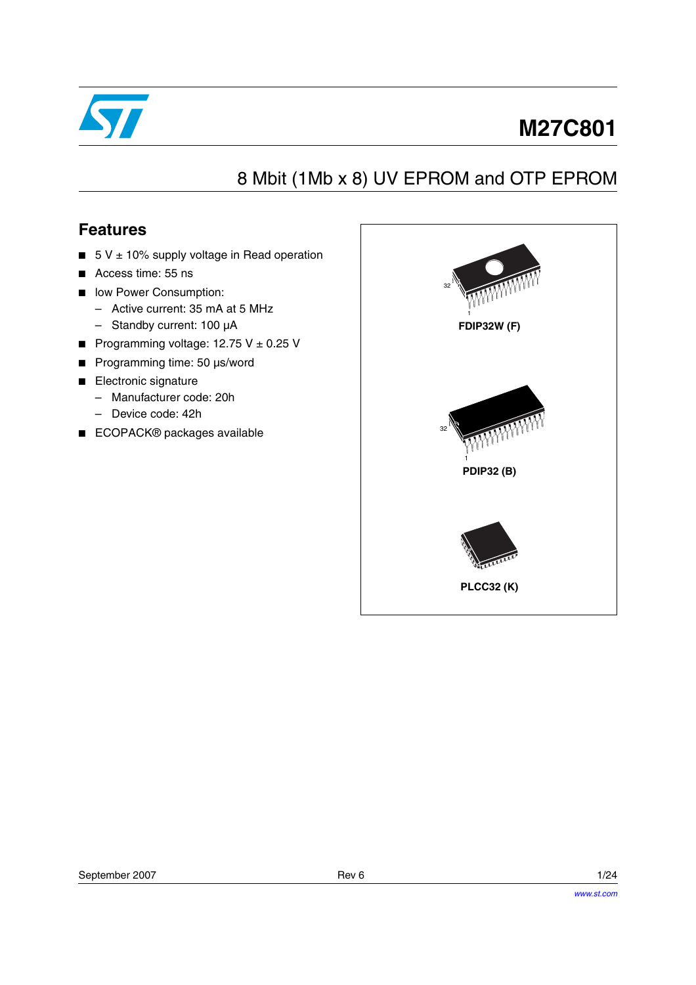

# **M27C801**

# 8 Mbit (1Mb x 8) UV EPROM and OTP EPROM

## **Features**

- $\blacksquare$  5 V  $\pm$  10% supply voltage in Read operation
- Access time: 55 ns
- low Power Consumption:
	- Active current: 35 mA at 5 MHz
	- Standby current: 100 µA
- Programming voltage:  $12.75$  V  $\pm$  0.25 V
- Programming time: 50 µs/word
- Electronic signature
	- Manufacturer code: 20h
	- Device code: 42h
- ECOPACK<sup>®</sup> packages available

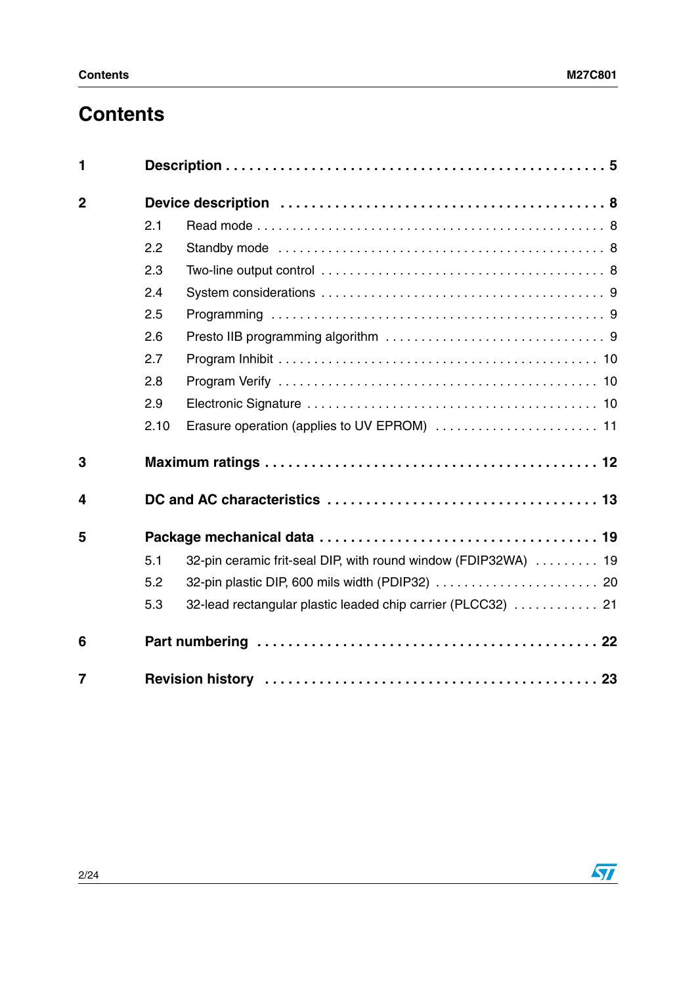# **Contents**

| 1              |      |                                                                |  |
|----------------|------|----------------------------------------------------------------|--|
| $\overline{2}$ |      |                                                                |  |
|                | 2.1  |                                                                |  |
|                | 2.2  |                                                                |  |
|                | 2.3  |                                                                |  |
|                | 2.4  |                                                                |  |
|                | 2.5  |                                                                |  |
|                | 2.6  |                                                                |  |
|                | 2.7  |                                                                |  |
|                | 2.8  |                                                                |  |
|                | 2.9  |                                                                |  |
|                | 2.10 | Erasure operation (applies to UV EPROM)  11                    |  |
| 3              |      |                                                                |  |
| 4              |      |                                                                |  |
| 5              |      |                                                                |  |
|                | 5.1  | 32-pin ceramic frit-seal DIP, with round window (FDIP32WA)  19 |  |
|                | 5.2  |                                                                |  |
|                | 5.3  | 32-lead rectangular plastic leaded chip carrier (PLCC32)  21   |  |
| 6              |      |                                                                |  |
| $\overline{7}$ |      |                                                                |  |

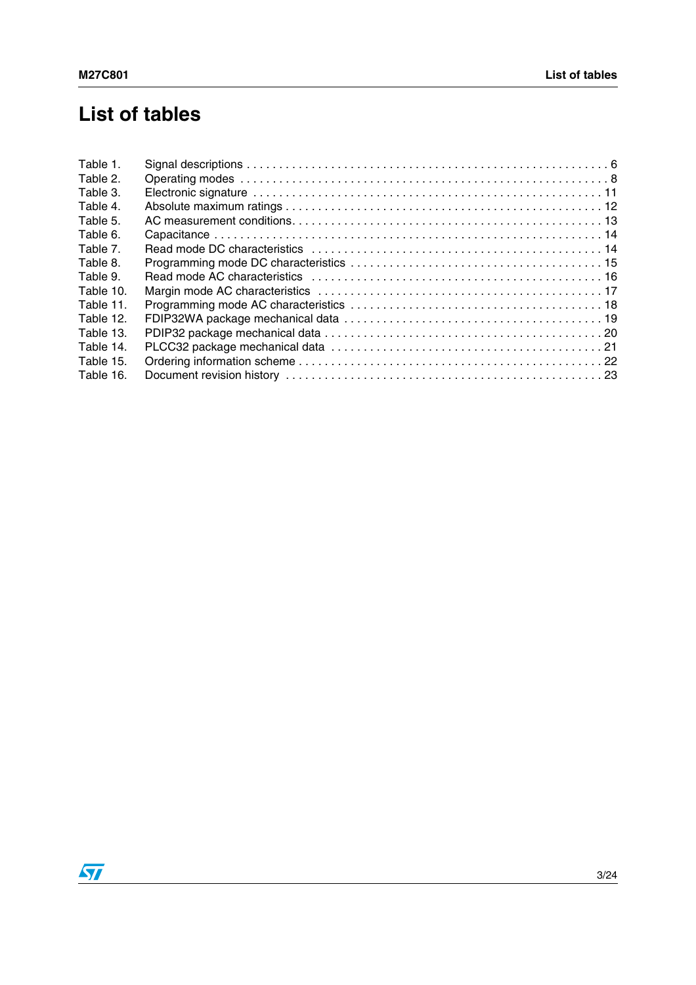# **List of tables**

| Table 1.  |  |
|-----------|--|
| Table 2.  |  |
| Table 3.  |  |
| Table 4.  |  |
| Table 5.  |  |
| Table 6.  |  |
| Table 7.  |  |
| Table 8.  |  |
| Table 9.  |  |
| Table 10. |  |
| Table 11. |  |
| Table 12. |  |
| Table 13. |  |
| Table 14. |  |
| Table 15. |  |
| Table 16. |  |
|           |  |

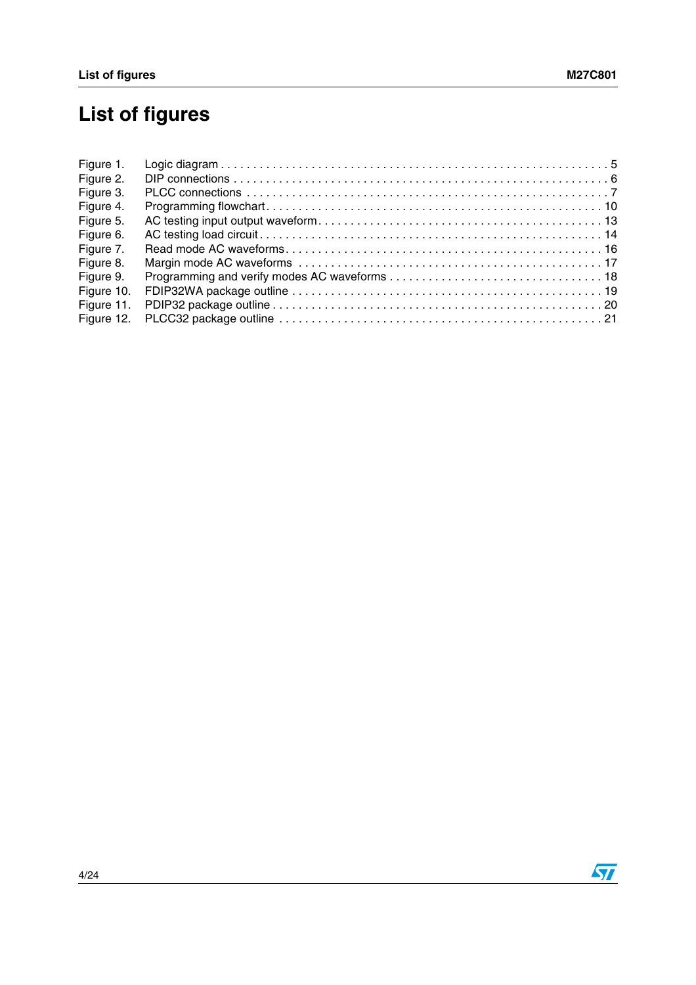# **List of figures**

| Figure 1.  |  |
|------------|--|
| Figure 2.  |  |
| Figure 3.  |  |
| Figure 4.  |  |
| Figure 5.  |  |
| Figure 6.  |  |
| Figure 7.  |  |
| Figure 8.  |  |
| Figure 9.  |  |
| Figure 10. |  |
| Figure 11. |  |
| Figure 12. |  |

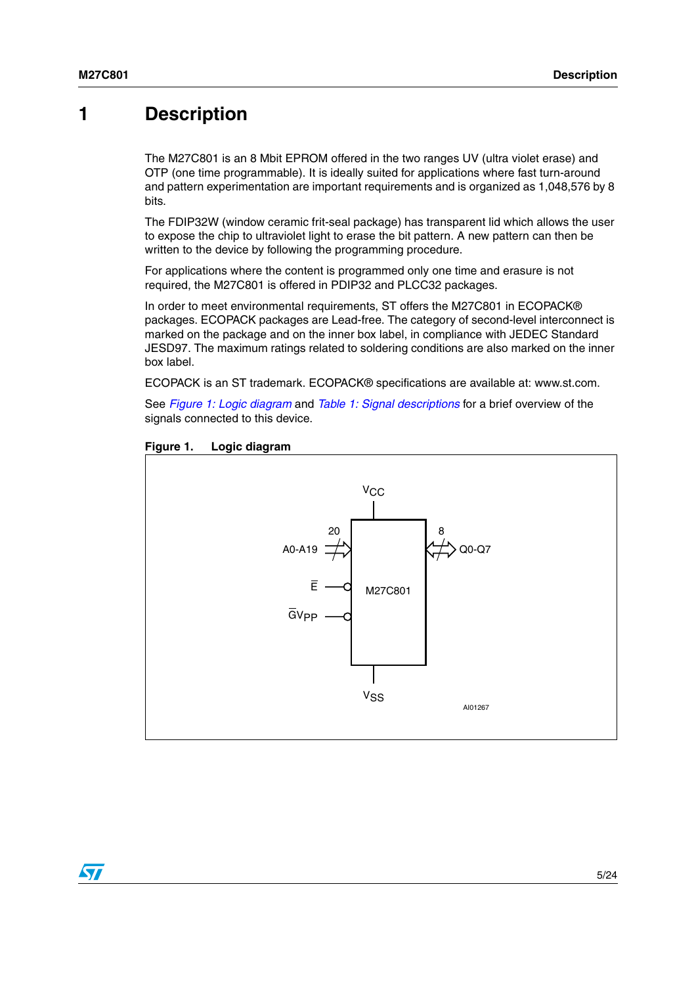## <span id="page-4-0"></span>**1 Description**

The M27C801 is an 8 Mbit EPROM offered in the two ranges UV (ultra violet erase) and OTP (one time programmable). It is ideally suited for applications where fast turn-around and pattern experimentation are important requirements and is organized as 1,048,576 by 8 bits.

The FDIP32W (window ceramic frit-seal package) has transparent lid which allows the user to expose the chip to ultraviolet light to erase the bit pattern. A new pattern can then be written to the device by following the programming procedure.

For applications where the content is programmed only one time and erasure is not required, the M27C801 is offered in PDIP32 and PLCC32 packages.

In order to meet environmental requirements, ST offers the M27C801 in ECOPACK® packages. ECOPACK packages are Lead-free. The category of second-level interconnect is marked on the package and on the inner box label, in compliance with JEDEC Standard JESD97. The maximum ratings related to soldering conditions are also marked on the inner box label.

ECOPACK is an ST trademark. ECOPACK® specifications are available at: www.st.com.

See *[Figure 1: Logic diagram](#page-4-1)* and *[Table 1: Signal descriptions](#page-5-0)* for a brief overview of the signals connected to this device.



#### <span id="page-4-1"></span>**Figure 1. Logic diagram**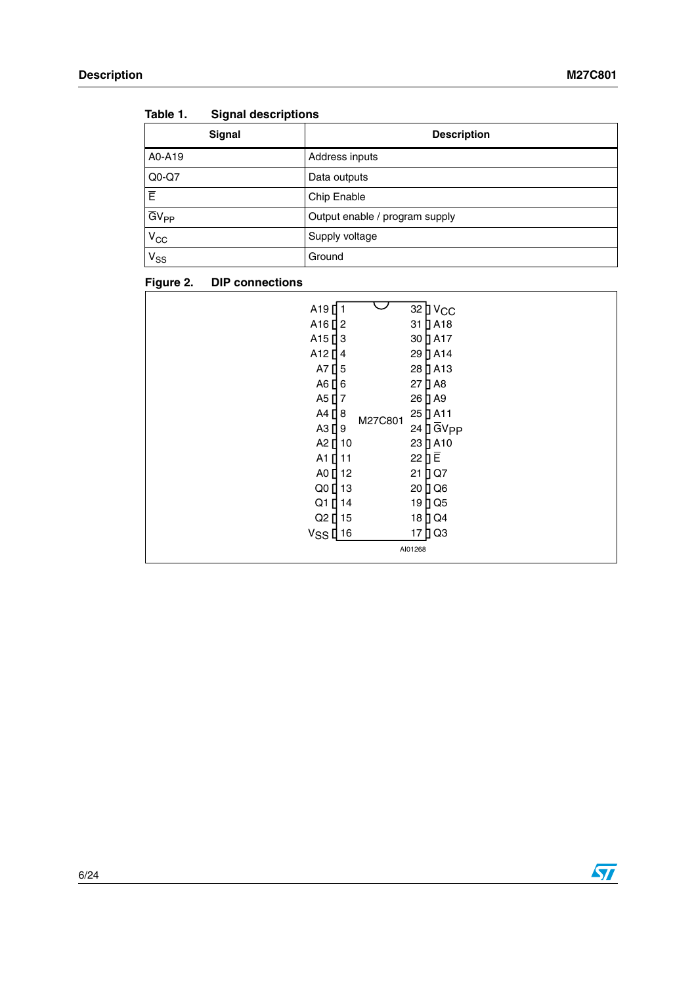| Signal                  | <b>Description</b>             |
|-------------------------|--------------------------------|
| A0-A19                  | Address inputs                 |
| $Q0-Q7$                 | Data outputs                   |
| ΙĒ                      | Chip Enable                    |
| $\overline{G}V_{PP}$    | Output enable / program supply |
| $\frac{V_{CC}}{V_{CC}}$ | Supply voltage                 |
| $V_{SS}$                | Ground                         |

<span id="page-5-0"></span>

| Table 1. | <b>Signal descriptions</b> |  |
|----------|----------------------------|--|
|          |                            |  |

#### <span id="page-5-1"></span>**Figure 2. DIP connections**

| A19<br>A <sub>16</sub> $12$<br>A <sub>15</sub> $\vert$ <sub>3</sub><br>A12 <sup>[4</sup><br>A7 $\prod$ 5<br>A6 [ 6<br>A5 [ 7<br>A4 <b>[</b> 8<br>A3 <sup>[9]</sup><br>A2 [ 10<br>A1 <sup>[11</sup><br>A0 <sup>[12</sup><br>Q0 <sup>[13</sup><br>Q1 [ 14 | M27C801 | 32 D V <sub>CC</sub><br>$31$ $\overline{)}$ A <sub>18</sub><br>30 D A17<br>29 D A14<br>28 D A13<br>27 D A8<br>26 D A9<br>25 DA11<br>$24$ $\overline{)}$ $\overline{G}$ V <sub>PP</sub><br>23<br>$\sqrt{2}$ A <sub>10</sub><br>22 $\overline{\mathsf{B}}\,\overline{\mathsf{E}}$<br>21<br>DQ7<br>20 D Q 6<br>19 D Q 5 |
|---------------------------------------------------------------------------------------------------------------------------------------------------------------------------------------------------------------------------------------------------------|---------|----------------------------------------------------------------------------------------------------------------------------------------------------------------------------------------------------------------------------------------------------------------------------------------------------------------------|
| Q2 [ 15<br>$VSS$ [16                                                                                                                                                                                                                                    |         | 18 D Q 4<br>17 D Q3<br>AI01268                                                                                                                                                                                                                                                                                       |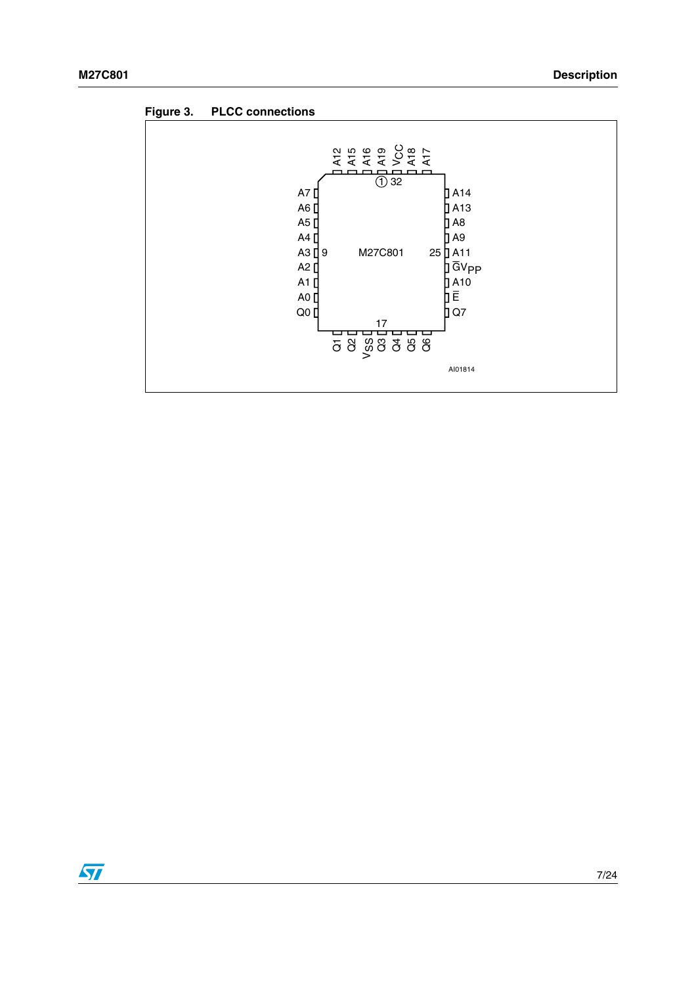<span id="page-6-0"></span>

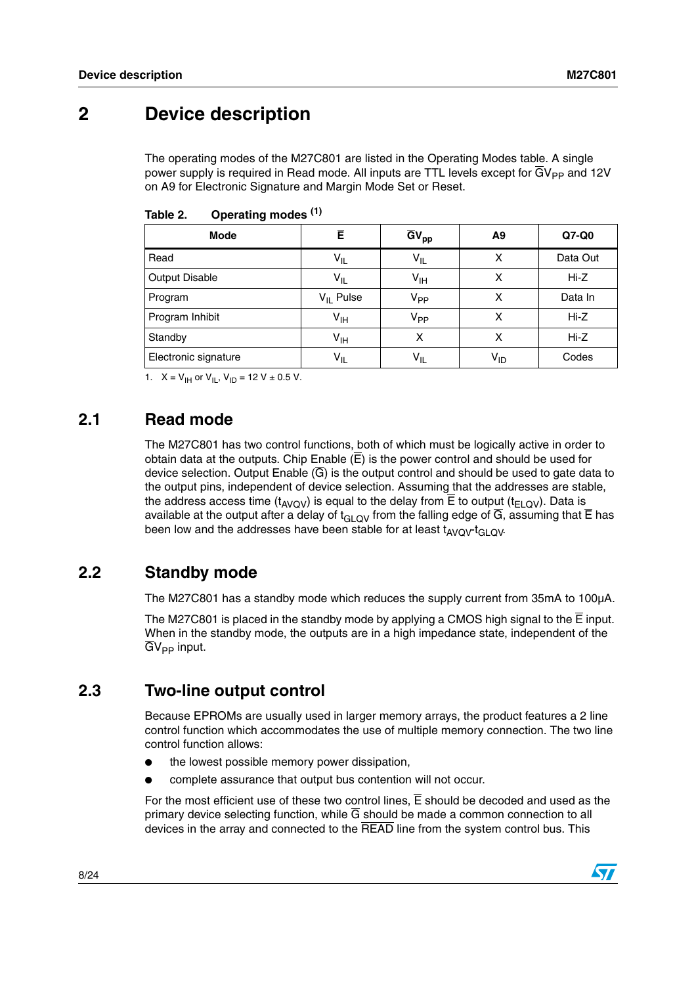## <span id="page-7-0"></span>**2 Device description**

The operating modes of the M27C801 are listed in the Operating Modes table. A single power supply is required in Read mode. All inputs are TTL levels except for  $\overline{G}V_{PP}$  and 12V on A9 for Electronic Signature and Margin Mode Set or Reset.

| Mode                  | Ē               | $\overline{GV}_{pp}$                         | A9       | Q7-Q0    |
|-----------------------|-----------------|----------------------------------------------|----------|----------|
| Read                  | $V_{IL}$        | $V_{IL}$                                     | х        | Data Out |
| <b>Output Disable</b> | $V_{IL}$        | $\mathsf{v}_{\scriptscriptstyle\mathsf{IH}}$ | х        | Hi-Z     |
| Program               | $V_{II}$ Pulse  | $V_{PP}$                                     | x        | Data In  |
| Program Inhibit       | $V_{\text{IH}}$ | V <sub>PP</sub>                              | x        | $Hi-Z$   |
| Standby               | $V_{\text{IH}}$ | x                                            | x        | $Hi-Z$   |
| Electronic signature  | $V_{IL}$        | $V_{IL}$                                     | $V_{ID}$ | Codes    |

<span id="page-7-4"></span>Table 2. **Operating modes (1)** 

1.  $X = V_{\text{IH}}$  or  $V_{\text{IL}}$ ,  $V_{\text{ID}} = 12 \text{ V} \pm 0.5 \text{ V}$ .

## <span id="page-7-1"></span>**2.1 Read mode**

The M27C801 has two control functions, both of which must be logically active in order to obtain data at the outputs. Chip Enable  $(E)$  is the power control and should be used for device selection. Output Enable  $(\overline{G})$  is the output control and should be used to gate data to the output pins, independent of device selection. Assuming that the addresses are stable, the address access time  $(t_{AVOV})$  is equal to the delay from  $\overline{E}$  to output ( $t_{ELOV}$ ). Data is available at the output after a delay of  $t_{GLQV}$  from the falling edge of  $\overline{G}$ , assuming that  $\overline{E}$  has been low and the addresses have been stable for at least  $t_{AVOV}t_{GLOV}$ .

## <span id="page-7-2"></span>**2.2 Standby mode**

The M27C801 has a standby mode which reduces the supply current from 35mA to 100µA.

The M27C801 is placed in the standby mode by applying a CMOS high signal to the  $\overline{E}$  input. When in the standby mode, the outputs are in a high impedance state, independent of the  $\overline{G}V_{PP}$  input.

## <span id="page-7-3"></span>**2.3 Two-line output control**

Because EPROMs are usually used in larger memory arrays, the product features a 2 line control function which accommodates the use of multiple memory connection. The two line control function allows:

- the lowest possible memory power dissipation,
- complete assurance that output bus contention will not occur.

For the most efficient use of these two control lines,  $\overline{E}$  should be decoded and used as the primary device selecting function, while  $\overline{G}$  should be made a common connection to all devices in the array and connected to the READ line from the system control bus. This

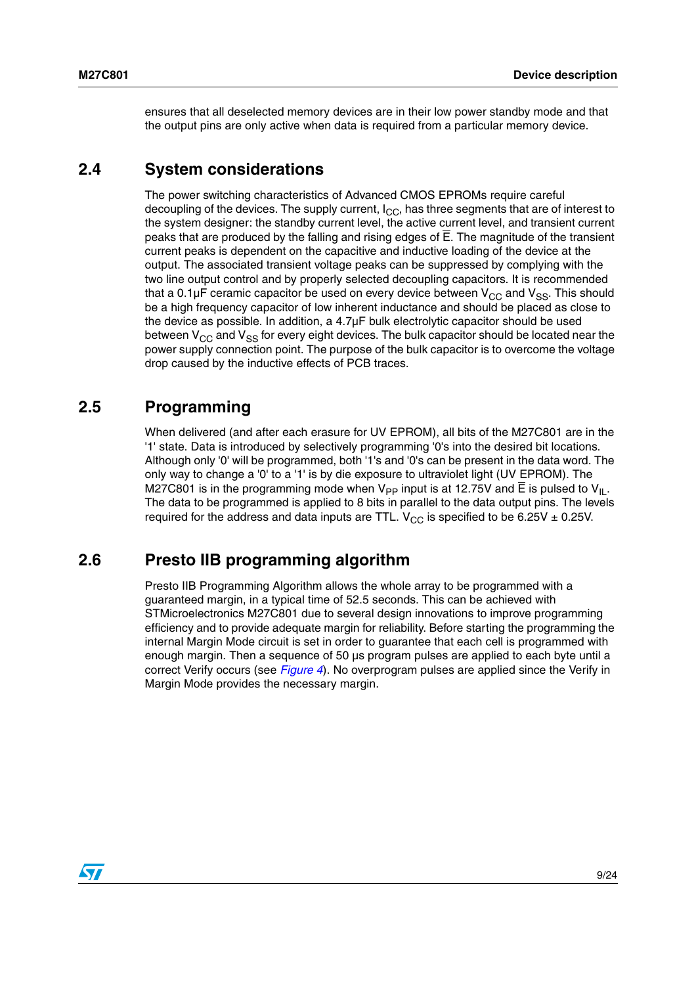ensures that all deselected memory devices are in their low power standby mode and that the output pins are only active when data is required from a particular memory device.

### <span id="page-8-0"></span>**2.4 System considerations**

The power switching characteristics of Advanced CMOS EPROMs require careful decoupling of the devices. The supply current,  $I_{CC}$ , has three segments that are of interest to the system designer: the standby current level, the active current level, and transient current peaks that are produced by the falling and rising edges of E. The magnitude of the transient current peaks is dependent on the capacitive and inductive loading of the device at the output. The associated transient voltage peaks can be suppressed by complying with the two line output control and by properly selected decoupling capacitors. It is recommended that a 0.1 $\mu$ F ceramic capacitor be used on every device between  $V_{CC}$  and  $V_{SS}$ . This should be a high frequency capacitor of low inherent inductance and should be placed as close to the device as possible. In addition, a 4.7µF bulk electrolytic capacitor should be used between  $V_{CC}$  and  $V_{SS}$  for every eight devices. The bulk capacitor should be located near the power supply connection point. The purpose of the bulk capacitor is to overcome the voltage drop caused by the inductive effects of PCB traces.

### <span id="page-8-1"></span>**2.5 Programming**

When delivered (and after each erasure for UV EPROM), all bits of the M27C801 are in the '1' state. Data is introduced by selectively programming '0's into the desired bit locations. Although only '0' will be programmed, both '1's and '0's can be present in the data word. The only way to change a '0' to a '1' is by die exposure to ultraviolet light (UV EPROM). The M27C801 is in the programming mode when  $V_{\text{PP}}$  input is at 12.75V and E is pulsed to  $V_{\text{II}}$ . The data to be programmed is applied to 8 bits in parallel to the data output pins. The levels required for the address and data inputs are TTL.  $V_{CC}$  is specified to be 6.25V  $\pm$  0.25V.

### <span id="page-8-2"></span>**2.6 Presto IIB programming algorithm**

Presto IIB Programming Algorithm allows the whole array to be programmed with a guaranteed margin, in a typical time of 52.5 seconds. This can be achieved with STMicroelectronics M27C801 due to several design innovations to improve programming efficiency and to provide adequate margin for reliability. Before starting the programming the internal Margin Mode circuit is set in order to guarantee that each cell is programmed with enough margin. Then a sequence of 50 µs program pulses are applied to each byte until a correct Verify occurs (see *[Figure 4](#page-9-3)*). No overprogram pulses are applied since the Verify in Margin Mode provides the necessary margin.

 $\sqrt{}$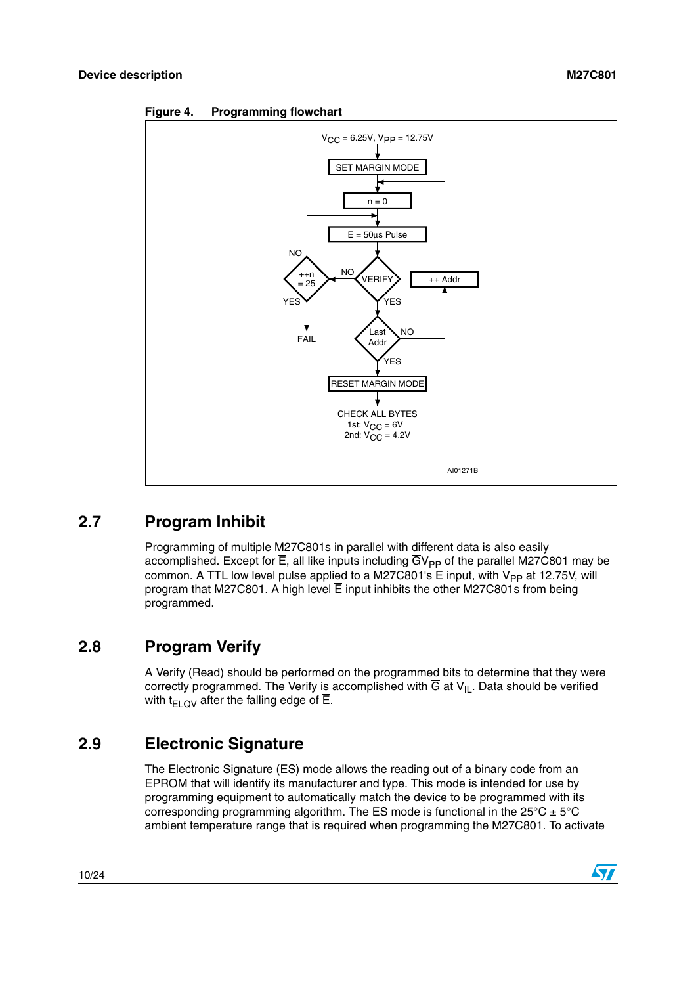

<span id="page-9-3"></span>**Figure 4. Programming flowchart**

## <span id="page-9-0"></span>**2.7 Program Inhibit**

Programming of multiple M27C801s in parallel with different data is also easily accomplished. Except for  $\overline{E}$ , all like inputs including  $\overline{G}V_{PP}$  of the parallel M27C801 may be common. A TTL low level pulse applied to a M27C801's  $\overline{E}$  input, with V<sub>PP</sub> at 12.75V, will program that M27C801. A high level  $\overline{E}$  input inhibits the other M27C801s from being programmed.

## <span id="page-9-1"></span>**2.8 Program Verify**

A Verify (Read) should be performed on the programmed bits to determine that they were correctly programmed. The Verify is accomplished with  $\overline{G}$  at  $V_{II}$ . Data should be verified with  $t_{F1QV}$  after the falling edge of  $\overline{E}$ .

## <span id="page-9-2"></span>**2.9 Electronic Signature**

The Electronic Signature (ES) mode allows the reading out of a binary code from an EPROM that will identify its manufacturer and type. This mode is intended for use by programming equipment to automatically match the device to be programmed with its corresponding programming algorithm. The ES mode is functional in the  $25^{\circ}C \pm 5^{\circ}C$ ambient temperature range that is required when programming the M27C801. To activate

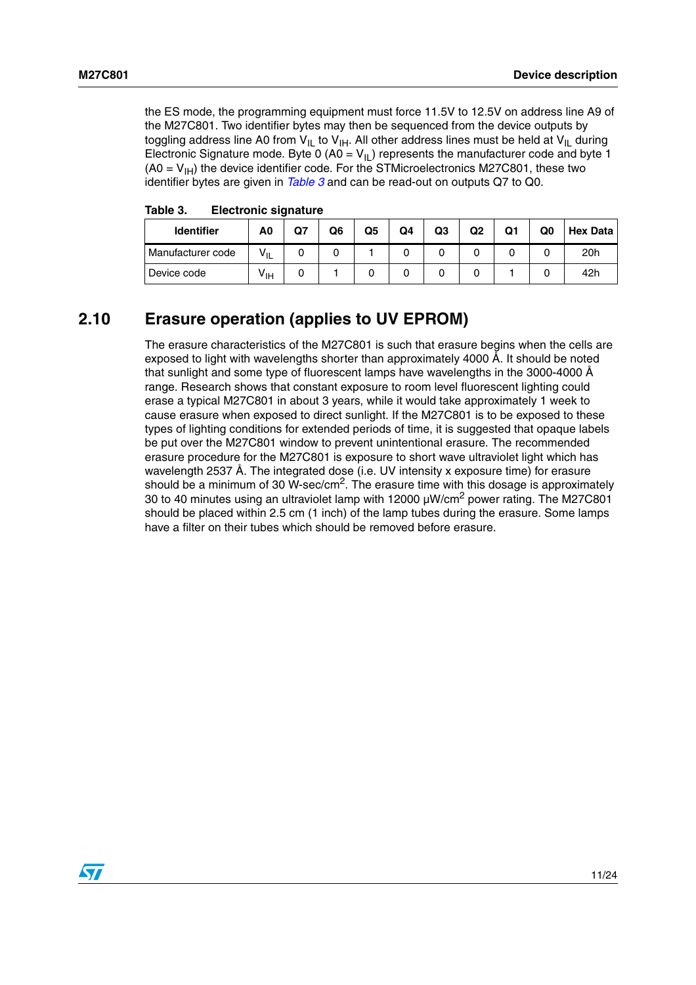the ES mode, the programming equipment must force 11.5V to 12.5V on address line A9 of the M27C801. Two identifier bytes may then be sequenced from the device outputs by toggling address line A0 from  $V_{\vert L}$  to  $V_{\vert H}$ . All other address lines must be held at  $V_{\vert L}$  during Electronic Signature mode. Byte 0 (A0 =  $V_{II}$ ) represents the manufacturer code and byte 1  $(AO = V<sub>IH</sub>)$  the device identifier code. For the STMicroelectronics M27C801, these two identifier bytes are given in *[Table 3](#page-10-1)* and can be read-out on outputs Q7 to Q0.

| <b>Identifier</b> | A0              | Q7 | Q6 | Q5 | Q4 | Q3 | Q2 | Q1 | Q0 | <b>Hex Data</b> |
|-------------------|-----------------|----|----|----|----|----|----|----|----|-----------------|
| Manufacturer code | $V_{IL}$        |    |    |    |    |    |    |    |    | 20h             |
| Device code       | V <sub>IH</sub> |    |    |    |    |    |    |    |    | 42h             |

<span id="page-10-1"></span>Table 3. **Electronic signature** 

### <span id="page-10-0"></span>**2.10 Erasure operation (applies to UV EPROM)**

The erasure characteristics of the M27C801 is such that erasure begins when the cells are exposed to light with wavelengths shorter than approximately 4000 Å. It should be noted that sunlight and some type of fluorescent lamps have wavelengths in the 3000-4000 Å range. Research shows that constant exposure to room level fluorescent lighting could erase a typical M27C801 in about 3 years, while it would take approximately 1 week to cause erasure when exposed to direct sunlight. If the M27C801 is to be exposed to these types of lighting conditions for extended periods of time, it is suggested that opaque labels be put over the M27C801 window to prevent unintentional erasure. The recommended erasure procedure for the M27C801 is exposure to short wave ultraviolet light which has wavelength 2537 Å. The integrated dose (i.e. UV intensity x exposure time) for erasure should be a minimum of 30 W-sec/cm<sup>2</sup>. The erasure time with this dosage is approximately 30 to 40 minutes using an ultraviolet lamp with 12000  $\mu$ W/cm<sup>2</sup> power rating. The M27C801 should be placed within 2.5 cm (1 inch) of the lamp tubes during the erasure. Some lamps have a filter on their tubes which should be removed before erasure.

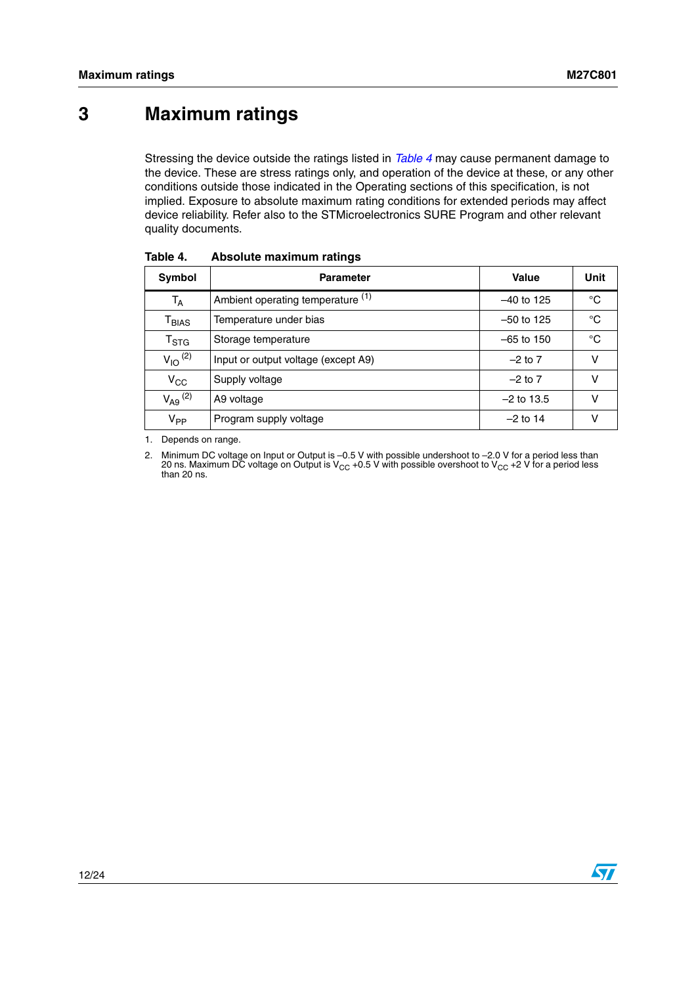## <span id="page-11-0"></span>**3 Maximum ratings**

Stressing the device outside the ratings listed in *[Table 4](#page-11-1)* may cause permanent damage to the device. These are stress ratings only, and operation of the device at these, or any other conditions outside those indicated in the Operating sections of this specification, is not implied. Exposure to absolute maximum rating conditions for extended periods may affect device reliability. Refer also to the STMicroelectronics SURE Program and other relevant quality documents.

| Symbol                            | <b>Parameter</b>                    | Value        | Unit |
|-----------------------------------|-------------------------------------|--------------|------|
| T <sub>A</sub>                    | Ambient operating temperature (1)   | $-40$ to 125 | °C   |
| $\mathsf{\Gamma}_{\mathsf{BIAS}}$ | Temperature under bias              | $-50$ to 125 | °C   |
| $\mathsf{T}_{\text{STG}}$         | Storage temperature                 | $-65$ to 150 | °C   |
| $V_{IO}$ <sup>(2)</sup>           | Input or output voltage (except A9) | $-2$ to 7    | v    |
| $V_{CC}$                          | Supply voltage                      | $-2$ to $7$  |      |
| $V_{A9}$ $^{(2)}$                 | A9 voltage                          | $-2$ to 13.5 | v    |
| $V_{PP}$                          | Program supply voltage              | $-2$ to 14   |      |

<span id="page-11-1"></span>Table 4. **Absolute maximum ratings** 

1. Depends on range.

2. Minimum DC voltage on Input or Output is –0.5 V with possible undershoot to –2.0 V for a period less than 20 ns. Maximum DC voltage on Output is V<sub>CC</sub> +0.5 V with possible overshoot to V<sub>CC</sub> +2 V for a period less<br>than 20 ns.

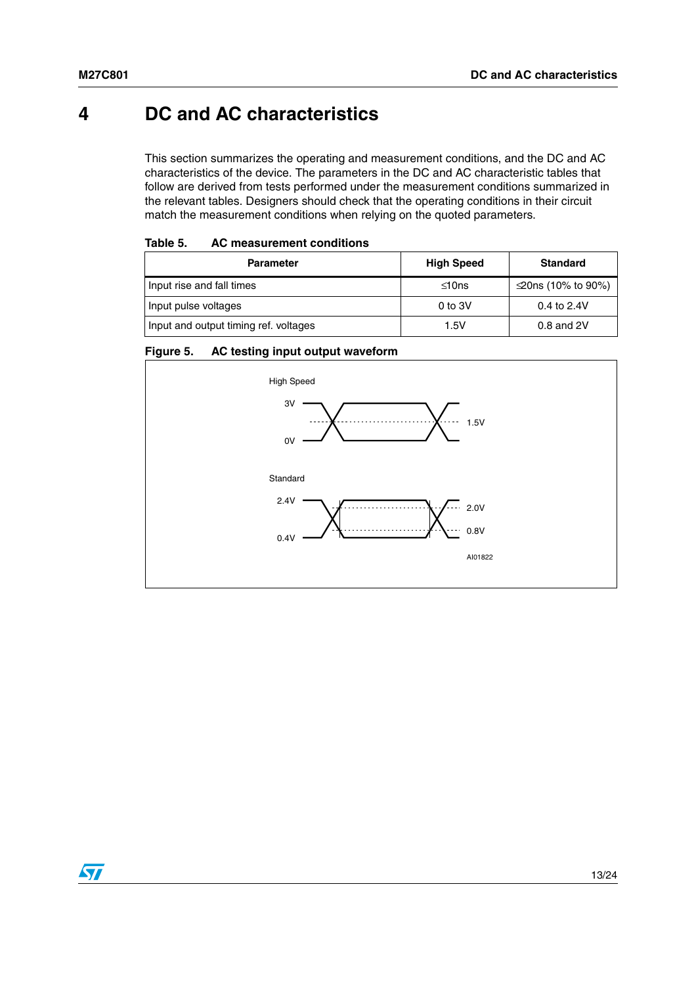## <span id="page-12-0"></span>**4 DC and AC characteristics**

This section summarizes the operating and measurement conditions, and the DC and AC characteristics of the device. The parameters in the DC and AC characteristic tables that follow are derived from tests performed under the measurement conditions summarized in the relevant tables. Designers should check that the operating conditions in their circuit match the measurement conditions when relying on the quoted parameters.

<span id="page-12-1"></span>

| Table 5. | AC measurement conditions |  |
|----------|---------------------------|--|
|----------|---------------------------|--|

| <b>Parameter</b>                      | <b>High Speed</b> | <b>Standard</b>    |
|---------------------------------------|-------------------|--------------------|
| Input rise and fall times             | $\leq 10$ ns      | ≤20ns (10% to 90%) |
| Input pulse voltages                  | 0 to $3V$         | 0.4 to $2.4V$      |
| Input and output timing ref. voltages | 1.5V              | $0.8$ and $2V$     |

#### <span id="page-12-2"></span>**Figure 5. AC testing input output waveform**

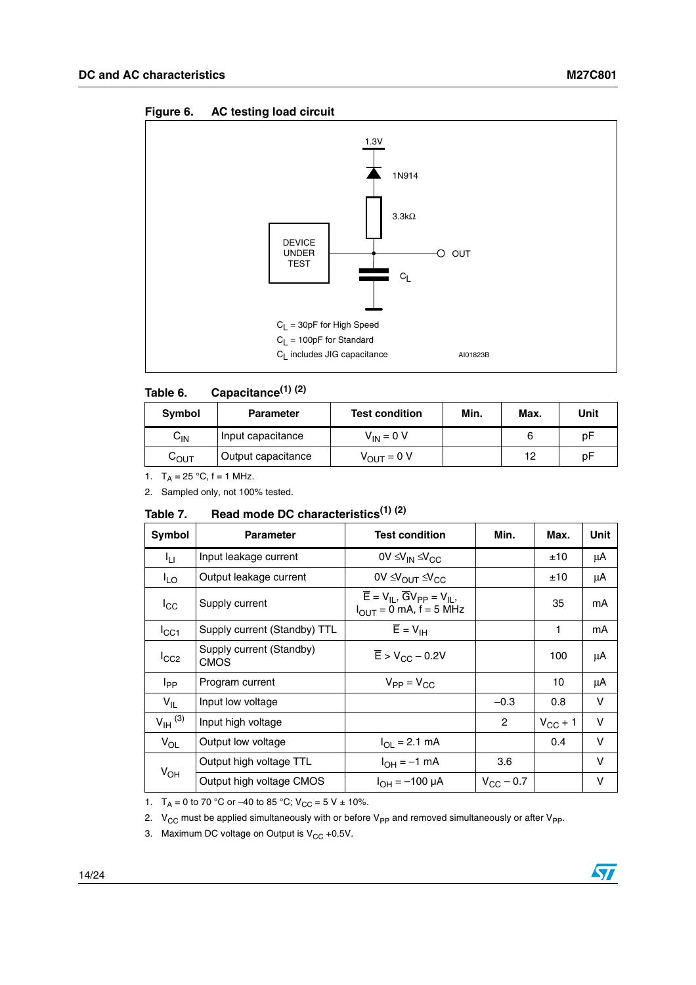<span id="page-13-2"></span>

#### <span id="page-13-0"></span>Table 6. **Table 6. Capacitance(1) (2)**

| Symbol           | <b>Parameter</b>   | <b>Test condition</b>  | Min. | Max. | Unit |
|------------------|--------------------|------------------------|------|------|------|
| ${\tt C_{IN}}$   | Input capacitance  | $V_{IN} = 0 V$         |      |      | рF   |
| С <sub>ОUТ</sub> | Output capacitance | $V_{\text{OUT}} = 0 V$ |      | 12   | рF   |

1.  $T_A = 25 °C$ , f = 1 MHz.

2. Sampled only, not 100% tested.

#### <span id="page-13-1"></span>Table 7. **Table 7. Read mode DC characteristics(1) (2)**

| Symbol                | <b>Parameter</b>                        | <b>Test condition</b>                                                                         | Min.               | Max.         | Unit   |
|-----------------------|-----------------------------------------|-----------------------------------------------------------------------------------------------|--------------------|--------------|--------|
| ŀц                    | Input leakage current                   | 0V $\leq V_{IN} \leq V_{CC}$                                                                  |                    | ±10          | μA     |
| $I_{LO}$              | Output leakage current                  | $0V \leq V_{\text{OUT}} \leq V_{\text{CC}}$                                                   |                    | ±10          | μA     |
| $I_{\rm CC}$          | Supply current                          | $\overline{E} = V_{II}$ , $\overline{G}V_{PP} = V_{IL}$<br>$I_{\text{OUT}} = 0$ mA, f = 5 MHz |                    | 35           | mA     |
| $I_{\rm CC1}$         | Supply current (Standby) TTL            | $\overline{E} = V_{\text{IH}}$                                                                |                    | 1            | mA     |
| $I_{CC2}$             | Supply current (Standby)<br><b>CMOS</b> | $\overline{E}$ > V <sub>CC</sub> – 0.2V                                                       |                    | 100          | μA     |
| I <sub>PP</sub>       | Program current                         | $V_{PP} = V_{CC}$                                                                             |                    | 10           | μA     |
| $V_{IL}$              | Input low voltage                       |                                                                                               | $-0.3$             | 0.8          | $\vee$ |
| $V_{\text{IH}}^{(3)}$ | Input high voltage                      |                                                                                               | $\overline{c}$     | $V_{CC}$ + 1 | $\vee$ |
| $V_{OL}$              | Output low voltage                      | $I_{OL} = 2.1$ mA                                                                             |                    | 0.4          | $\vee$ |
|                       | Output high voltage TTL                 | $I_{OH} = -1$ mA                                                                              | 3.6                |              | $\vee$ |
| $V_{OH}$              | Output high voltage CMOS                | $I_{OH} = -100 \mu A$                                                                         | $V_{\rm CC}$ – 0.7 |              | v      |

1.  $T_A = 0$  to 70 °C or –40 to 85 °C;  $V_{CC} = 5 V \pm 10$ %.

2.  $V_{CC}$  must be applied simultaneously with or before  $V_{PP}$  and removed simultaneously or after  $V_{PP}$ .

3. Maximum DC voltage on Output is  $V_{CC}$  +0.5V.

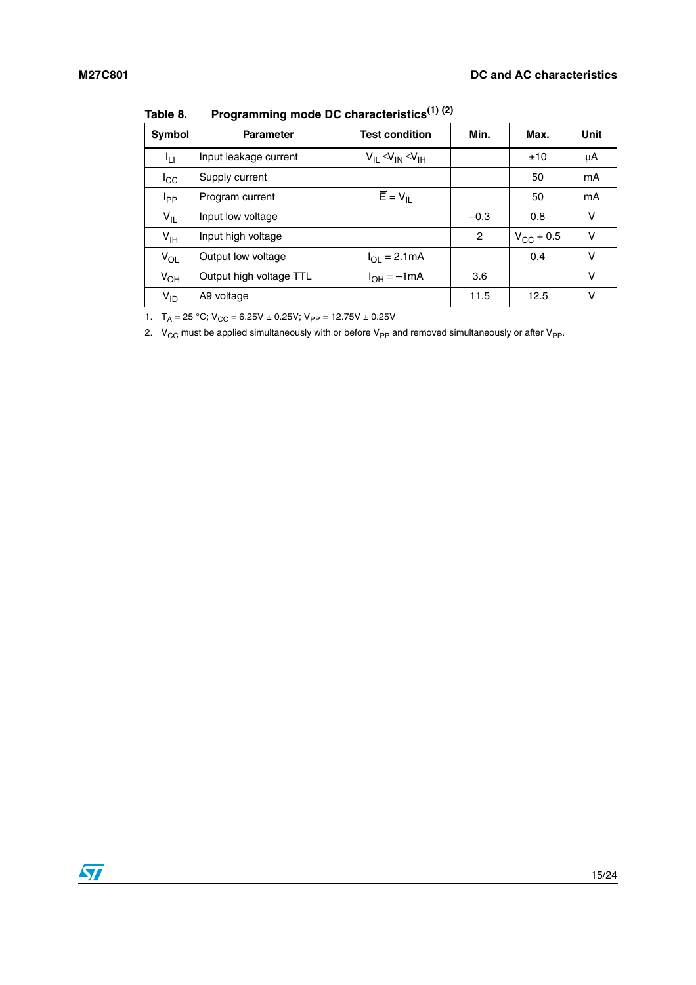| Symbol          | <b>Parameter</b>        | <b>Test condition</b>            | Min.           | Max.               | Unit   |
|-----------------|-------------------------|----------------------------------|----------------|--------------------|--------|
| ŀц              | Input leakage current   | $V_{IL} \leq V_{IN} \leq V_{IH}$ |                | ±10                | μA     |
| $I_{\rm CC}$    | Supply current          |                                  |                | 50                 | mA     |
| I <sub>PP</sub> | Program current         | $\overline{E} = V_{IL}$          |                | 50                 | mA     |
| $V_{IL}$        | Input low voltage       |                                  | $-0.3$         | 0.8                | v      |
| $V_{\text{IH}}$ | Input high voltage      |                                  | $\overline{2}$ | $V_{\rm CC}$ + 0.5 | $\vee$ |
| $V_{OL}$        | Output low voltage      | $I_{OL} = 2.1mA$                 |                | 0.4                | V      |
| $V_{OH}$        | Output high voltage TTL | $I_{OH} = -1mA$                  | 3.6            |                    | $\vee$ |
| $V_{ID}$        | A9 voltage              |                                  | 11.5           | 12.5               | v      |

<span id="page-14-0"></span>**Table 8. Programming mode DC characteristics(1) (2)**

1.  $T_A = 25 \text{ °C}$ ;  $V_{CC} = 6.25V \pm 0.25V$ ;  $V_{PP} = 12.75V \pm 0.25V$ 

2.  $V_{CC}$  must be applied simultaneously with or before  $V_{PP}$  and removed simultaneously or after  $V_{PP}$ .

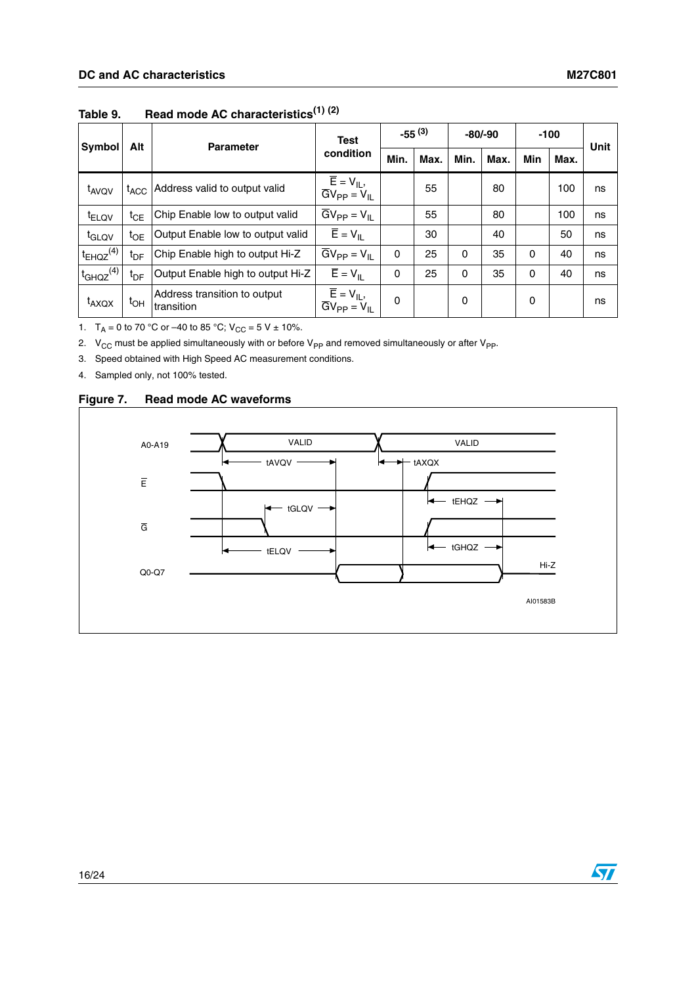|                           | Alt              | <b>Test</b><br><b>Parameter</b>            |                                                                                      | $-55^{(3)}$ |      | $-80/-90$ |      | $-100$   |      | <b>Unit</b> |
|---------------------------|------------------|--------------------------------------------|--------------------------------------------------------------------------------------|-------------|------|-----------|------|----------|------|-------------|
| Symbol                    |                  |                                            | condition                                                                            | Min.        | Max. | Min.      | Max. | Min      | Max. |             |
| t <sub>AVQV</sub>         | $t_{\text{ACC}}$ | Address valid to output valid              | $\overline{E} = V_{IL}$<br>$\overline{G}V_{PP} = V_{IL}$                             |             | 55   |           | 80   |          | 100  | ns          |
| t <sub>ELQV</sub>         | $t_{\sf CE}$     | Chip Enable low to output valid            | $\overline{G}V_{PP} = V_{IL}$                                                        |             | 55   |           | 80   |          | 100  | ns          |
| t <sub>GLQV</sub>         | $t_{OE}$         | Output Enable low to output valid          | $\overline{E} = V_{\parallel}$                                                       |             | 30   |           | 40   |          | 50   | ns          |
| $t_{EHQZ}$ <sup>(4)</sup> | t <sub>DF</sub>  | Chip Enable high to output Hi-Z            | $\overline{G}V_{PP} = V_{IL}$                                                        | 0           | 25   | $\Omega$  | 35   | $\Omega$ | 40   | ns          |
| $t_{GHQZ}$ <sup>(4)</sup> | t <sub>DF</sub>  | Output Enable high to output Hi-Z          | $\overline{E} = V_{\parallel}$                                                       | 0           | 25   | 0         | 35   | $\Omega$ | 40   | ns          |
| t <sub>AXQX</sub>         | $t_{OH}$         | Address transition to output<br>transition | $\overline{\mathsf{E}} = \mathsf{V}_{\mathsf{IL}},$<br>$\overline{GV}_{PP} = V_{II}$ | 0           |      | 0         |      | 0        |      | ns          |

<span id="page-15-0"></span>**Table 9. Read mode AC characteristics(1) (2)**

1.  $T_A = 0$  to 70 °C or –40 to 85 °C;  $V_{CC} = 5 V \pm 10$ %.

2.  $V_{CC}$  must be applied simultaneously with or before  $V_{PP}$  and removed simultaneously or after  $V_{PP}$ .

3. Speed obtained with High Speed AC measurement conditions.

4. Sampled only, not 100% tested.



#### <span id="page-15-1"></span>**Figure 7. Read mode AC waveforms**

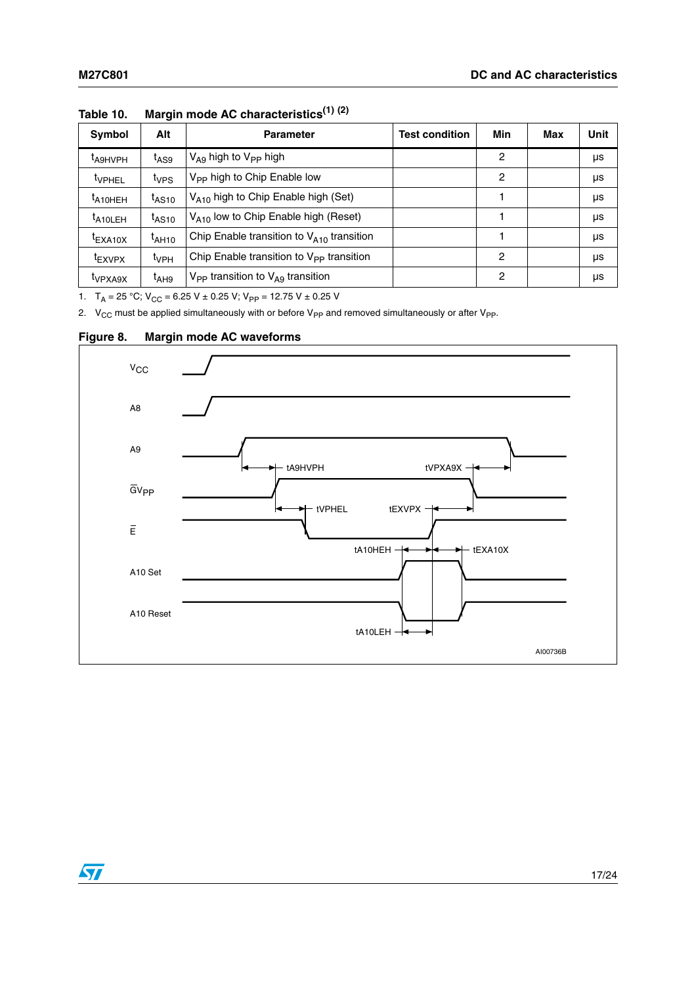| Symbol                          | Alt                 | <b>Parameter</b>                                | <b>Test condition</b> | Min | Max | Unit |
|---------------------------------|---------------------|-------------------------------------------------|-----------------------|-----|-----|------|
| <sup>I</sup> A9HVPH             | t <sub>AS9</sub>    | $V_{\text{A}9}$ high to $V_{\text{PP}}$ high    |                       | 2   |     | μs   |
| <sup>t</sup> VPHEL              | t <sub>VPS</sub>    | V <sub>PP</sub> high to Chip Enable low         |                       | 2   |     | μs   |
| $t_{A10HEH}$                    | $t_{\mathsf{AS10}}$ | V <sub>A10</sub> high to Chip Enable high (Set) |                       |     |     | μs   |
| <sup>I</sup> A <sub>10LEH</sub> | $t_{AS10}$          | $V_{A10}$ low to Chip Enable high (Reset)       |                       |     |     | μs   |
| $t_{\text{EXA10X}}$             | t <sub>AH10</sub>   | Chip Enable transition to $V_{A10}$ transition  |                       |     |     | μs   |
| <sup>I</sup> EXVPX              | $t_{VPH}$           | Chip Enable transition to $V_{PP}$ transition   |                       | 2   |     | μs   |
| <sup>I</sup> VPXA9X             | $t_{AHB}$           | $V_{PP}$ transition to $V_{AG}$ transition      |                       | 2   |     | μs   |

<span id="page-16-0"></span>**Table 10. Margin mode AC characteristics(1) (2)**

1.  $T_A = 25 \text{ °C}$ ;  $V_{CC} = 6.25 \text{ V} \pm 0.25 \text{ V}$ ;  $V_{PP} = 12.75 \text{ V} \pm 0.25 \text{ V}$ 

2.  $V_{CC}$  must be applied simultaneously with or before  $V_{PP}$  and removed simultaneously or after  $V_{PP}$ .



<span id="page-16-1"></span>**Figure 8. Margin mode AC waveforms**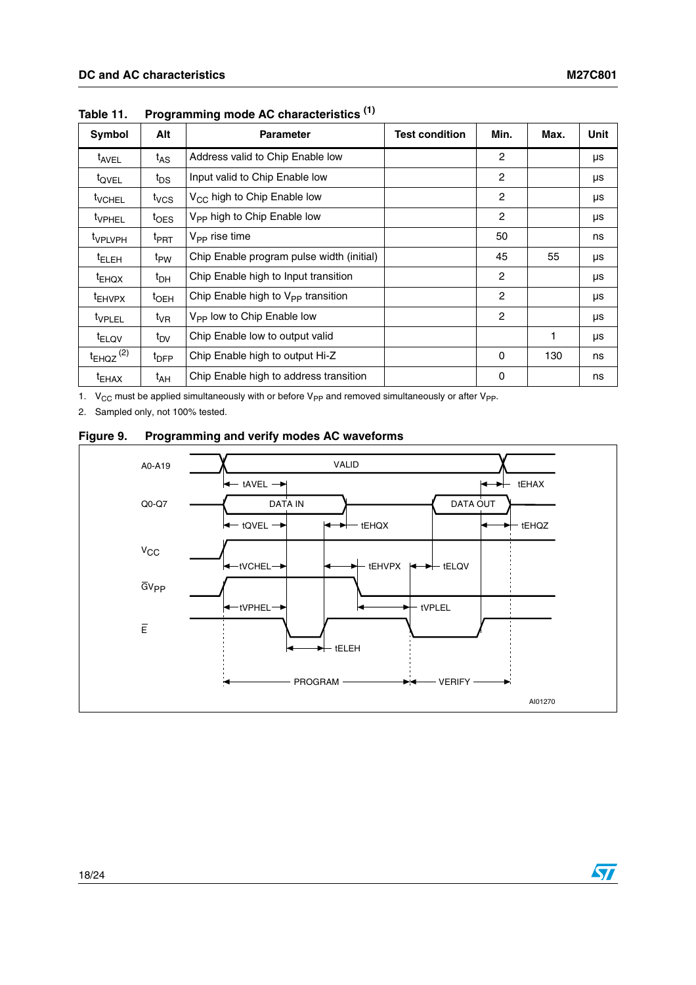| Symbol                    | Alt               | <b>Parameter</b>                               | <b>Test condition</b> | Min.           | Max. | Unit |
|---------------------------|-------------------|------------------------------------------------|-----------------------|----------------|------|------|
| t <sub>AVEL</sub>         | $t_{AS}$          | Address valid to Chip Enable low               |                       | $\overline{2}$ |      | μs   |
| t <sub>OVEL</sub>         | $t_{DS}$          | Input valid to Chip Enable low                 |                       | $\overline{c}$ |      | μs   |
| <sup>t</sup> VCHEL        | t <sub>VCS</sub>  | V <sub>CC</sub> high to Chip Enable low        |                       | 2              |      | μs   |
| <sup>t</sup> VPHEL        | $t_{\text{OES}}$  | V <sub>PP</sub> high to Chip Enable low        |                       | $\overline{c}$ |      | μs   |
| <sup>t</sup> VPLVPH       | <sup>t</sup> PRT  | $V_{\text{PP}}$ rise time                      |                       | 50             |      | ns   |
| <sup>t</sup> ELEH         | t <sub>PW</sub>   | Chip Enable program pulse width (initial)      |                       | 45             | 55   | μs   |
| $t_{EHOX}$                | $t_{\text{DH}}$   | Chip Enable high to Input transition           |                       | $\mathbf{2}$   |      | μs   |
| <sup>t</sup> EHVPX        | $t_{\rm OEH}$     | Chip Enable high to V <sub>PP</sub> transition |                       | 2              |      | μs   |
| <sup>t</sup> VPLEL        | $t_{\mathsf{VR}}$ | V <sub>PP</sub> low to Chip Enable low         |                       | $\overline{2}$ |      | μs   |
| <sup>t</sup> ELQV         | $t_{\text{DV}}$   | Chip Enable low to output valid                |                       |                | 1    | μs   |
| $t_{EHQZ}$ <sup>(2)</sup> | $t_{\text{DFP}}$  | Chip Enable high to output Hi-Z                |                       | 0              | 130  | ns   |
| <sup>t</sup> EHAX         | t <sub>АН</sub>   | Chip Enable high to address transition         |                       | 0              |      | ns   |

<span id="page-17-0"></span>**Table 11. Programming mode AC characteristics (1)**

1.  $V_{CC}$  must be applied simultaneously with or before  $V_{PP}$  and removed simultaneously or after  $V_{PP}$ .

2. Sampled only, not 100% tested.

<span id="page-17-1"></span>

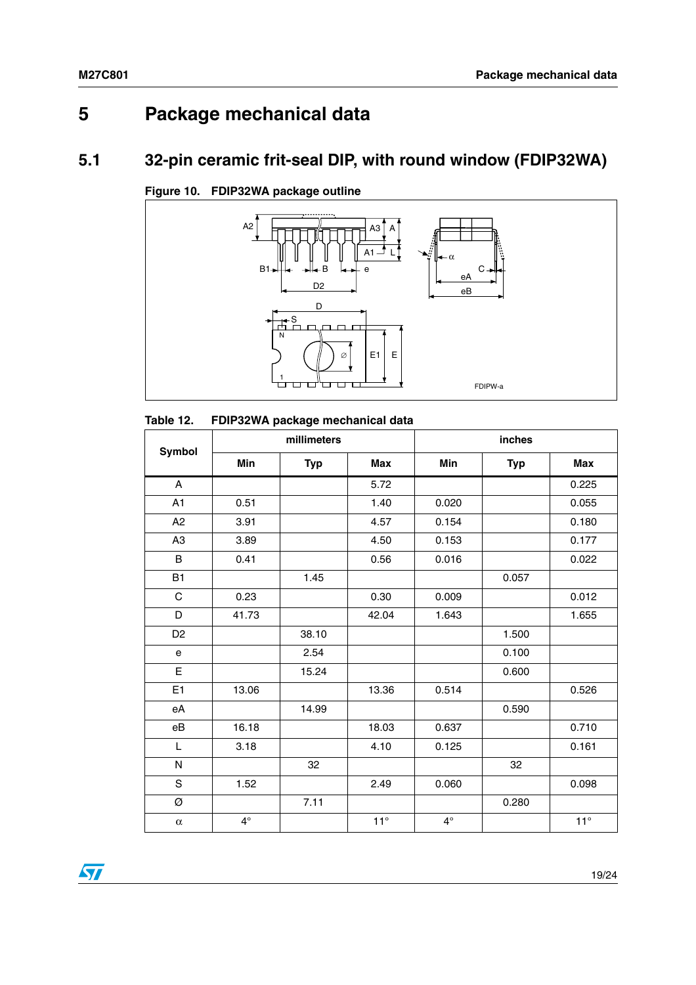# <span id="page-18-0"></span>**5 Package mechanical data**

## <span id="page-18-1"></span>**5.1 32-pin ceramic frit-seal DIP, with round window (FDIP32WA)**



<span id="page-18-3"></span>**Figure 10. FDIP32WA package outline**

#### <span id="page-18-2"></span>Table 12. **Table 12. FDIP32WA package mechanical data**

| Symbol                    | millimeters |            |            | inches      |            |              |  |
|---------------------------|-------------|------------|------------|-------------|------------|--------------|--|
|                           | Min         | <b>Typ</b> | <b>Max</b> | Min         | <b>Typ</b> | <b>Max</b>   |  |
| $\boldsymbol{\mathsf{A}}$ |             |            | 5.72       |             |            | 0.225        |  |
| A1                        | 0.51        |            | 1.40       | 0.020       |            | 0.055        |  |
| A2                        | 3.91        |            | 4.57       | 0.154       |            | 0.180        |  |
| A <sub>3</sub>            | 3.89        |            | 4.50       | 0.153       |            | 0.177        |  |
| $\sf B$                   | 0.41        |            | 0.56       | 0.016       |            | 0.022        |  |
| B1                        |             | 1.45       |            |             | 0.057      |              |  |
| $\mathsf C$               | 0.23        |            | 0.30       | 0.009       |            | 0.012        |  |
| D                         | 41.73       |            | 42.04      | 1.643       |            | 1.655        |  |
| D <sub>2</sub>            |             | 38.10      |            |             | 1.500      |              |  |
| ${\bf e}$                 |             | 2.54       |            |             | 0.100      |              |  |
| E                         |             | 15.24      |            |             | 0.600      |              |  |
| E1                        | 13.06       |            | 13.36      | 0.514       |            | 0.526        |  |
| eA                        |             | 14.99      |            |             | 0.590      |              |  |
| eB                        | 16.18       |            | 18.03      | 0.637       |            | 0.710        |  |
| L                         | 3.18        |            | 4.10       | 0.125       |            | 0.161        |  |
| ${\sf N}$                 |             | 32         |            |             | 32         |              |  |
| $\mathbf S$               | 1.52        |            | 2.49       | 0.060       |            | 0.098        |  |
| Ø                         |             | 7.11       |            |             | 0.280      |              |  |
| $\alpha$                  | $4^\circ$   |            | $11^\circ$ | $4^{\circ}$ |            | $11^{\circ}$ |  |

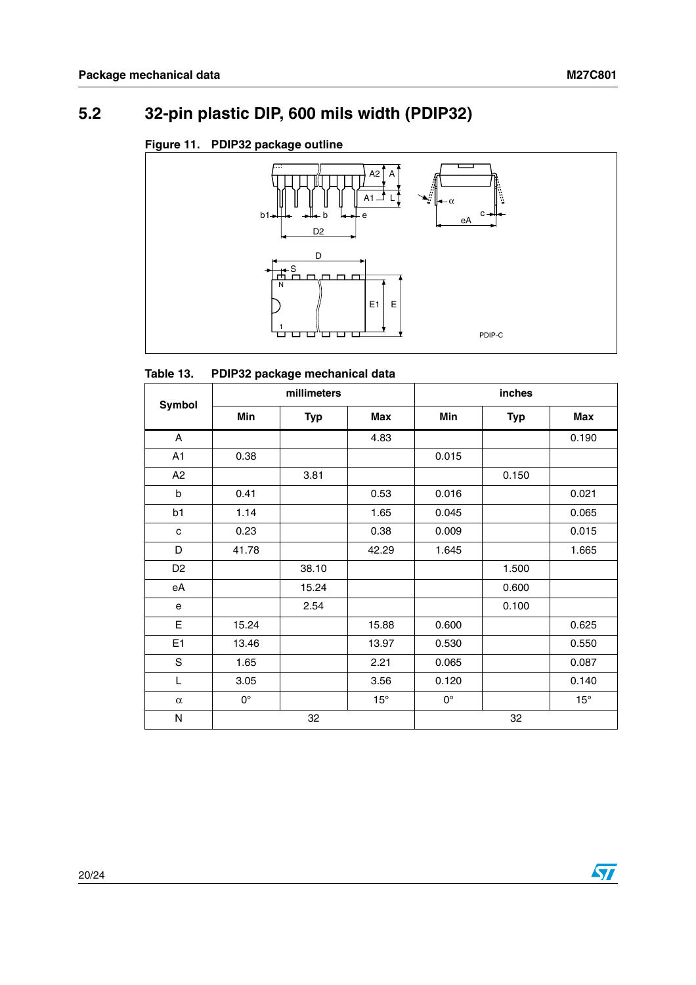## <span id="page-19-0"></span>**5.2 32-pin plastic DIP, 600 mils width (PDIP32)**

#### <span id="page-19-2"></span>**Figure 11. PDIP32 package outline**



#### <span id="page-19-1"></span>Table 13. **PDIP32 package mechanical data**

| <b>Symbol</b>  | millimeters        |            |              | inches      |            |              |  |
|----------------|--------------------|------------|--------------|-------------|------------|--------------|--|
|                | Min                | <b>Typ</b> | <b>Max</b>   | Min         | <b>Typ</b> | <b>Max</b>   |  |
| A              |                    |            | 4.83         |             |            | 0.190        |  |
| A <sub>1</sub> | 0.38               |            |              | 0.015       |            |              |  |
| A2             |                    | 3.81       |              |             | 0.150      |              |  |
| b              | 0.41               |            | 0.53         | 0.016       |            | 0.021        |  |
| b1             | 1.14               |            | 1.65         | 0.045       |            | 0.065        |  |
| C              | 0.23               |            | 0.38         | 0.009       |            | 0.015        |  |
| D              | 41.78              |            | 42.29        | 1.645       |            | 1.665        |  |
| D <sub>2</sub> |                    | 38.10      |              |             | 1.500      |              |  |
| eA             |                    | 15.24      |              |             | 0.600      |              |  |
| e              |                    | 2.54       |              |             | 0.100      |              |  |
| E              | 15.24              |            | 15.88        | 0.600       |            | 0.625        |  |
| E1             | 13.46              |            | 13.97        | 0.530       |            | 0.550        |  |
| $\mathbf S$    | 1.65               |            | 2.21         | 0.065       |            | 0.087        |  |
| L              | 3.05               |            | 3.56         | 0.120       |            | 0.140        |  |
| $\alpha$       | $\mathsf{O}^\circ$ |            | $15^{\circ}$ | $0^{\circ}$ |            | $15^{\circ}$ |  |
| N              | 32                 |            | 32           |             |            |              |  |

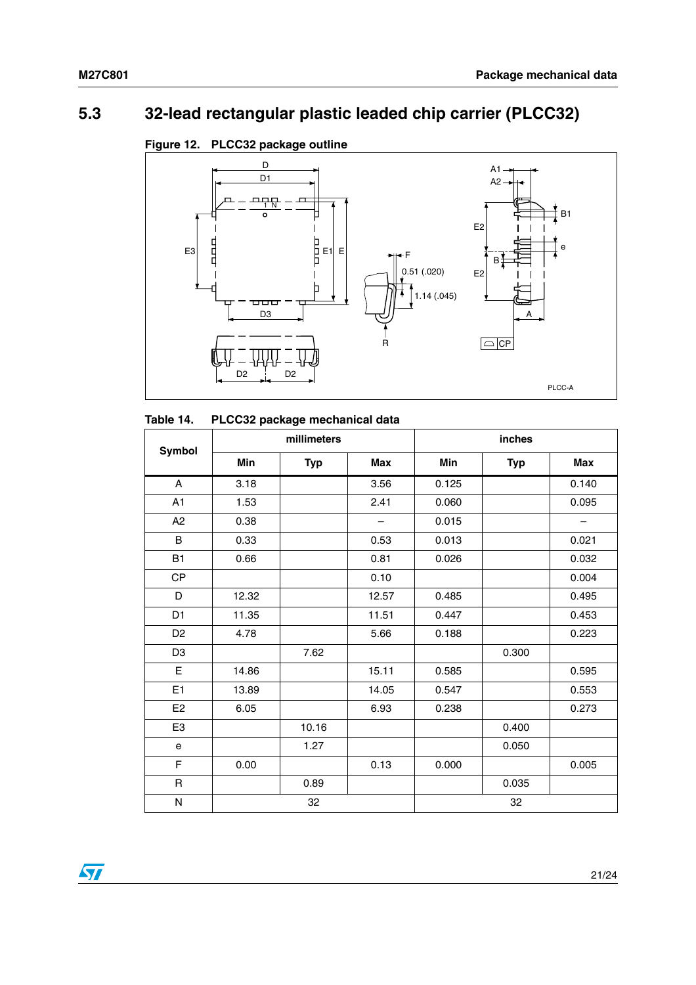## <span id="page-20-0"></span>**5.3 32-lead rectangular plastic leaded chip carrier (PLCC32)**

<span id="page-20-2"></span>



#### <span id="page-20-1"></span>**Table 14. PLCC32 package mechanical data**

| <b>Symbol</b>             |       | millimeters |                          | inches |            |                          |  |
|---------------------------|-------|-------------|--------------------------|--------|------------|--------------------------|--|
|                           | Min   | <b>Typ</b>  | Max                      | Min    | <b>Typ</b> | Max                      |  |
| $\boldsymbol{\mathsf{A}}$ | 3.18  |             | 3.56                     | 0.125  |            | 0.140                    |  |
| A1                        | 1.53  |             | 2.41                     | 0.060  |            | 0.095                    |  |
| A <sub>2</sub>            | 0.38  |             | $\overline{\phantom{m}}$ | 0.015  |            | $\overline{\phantom{m}}$ |  |
| B                         | 0.33  |             | 0.53                     | 0.013  |            | 0.021                    |  |
| <b>B1</b>                 | 0.66  |             | 0.81                     | 0.026  |            | 0.032                    |  |
| <b>CP</b>                 |       |             | 0.10                     |        |            | 0.004                    |  |
| D                         | 12.32 |             | 12.57                    | 0.485  |            | 0.495                    |  |
| D <sub>1</sub>            | 11.35 |             | 11.51                    | 0.447  |            | 0.453                    |  |
| D <sub>2</sub>            | 4.78  |             | 5.66                     | 0.188  |            | 0.223                    |  |
| D <sub>3</sub>            |       | 7.62        |                          |        | 0.300      |                          |  |
| $\mathsf E$               | 14.86 |             | 15.11                    | 0.585  |            | 0.595                    |  |
| E <sub>1</sub>            | 13.89 |             | 14.05                    | 0.547  |            | 0.553                    |  |
| E <sub>2</sub>            | 6.05  |             | 6.93                     | 0.238  |            | 0.273                    |  |
| E <sub>3</sub>            |       | 10.16       |                          |        | 0.400      |                          |  |
| e                         |       | 1.27        |                          |        | 0.050      |                          |  |
| F                         | 0.00  |             | 0.13                     | 0.000  |            | 0.005                    |  |
| R                         |       | 0.89        |                          |        | 0.035      |                          |  |
| ${\sf N}$                 |       | 32          |                          |        | 32         |                          |  |

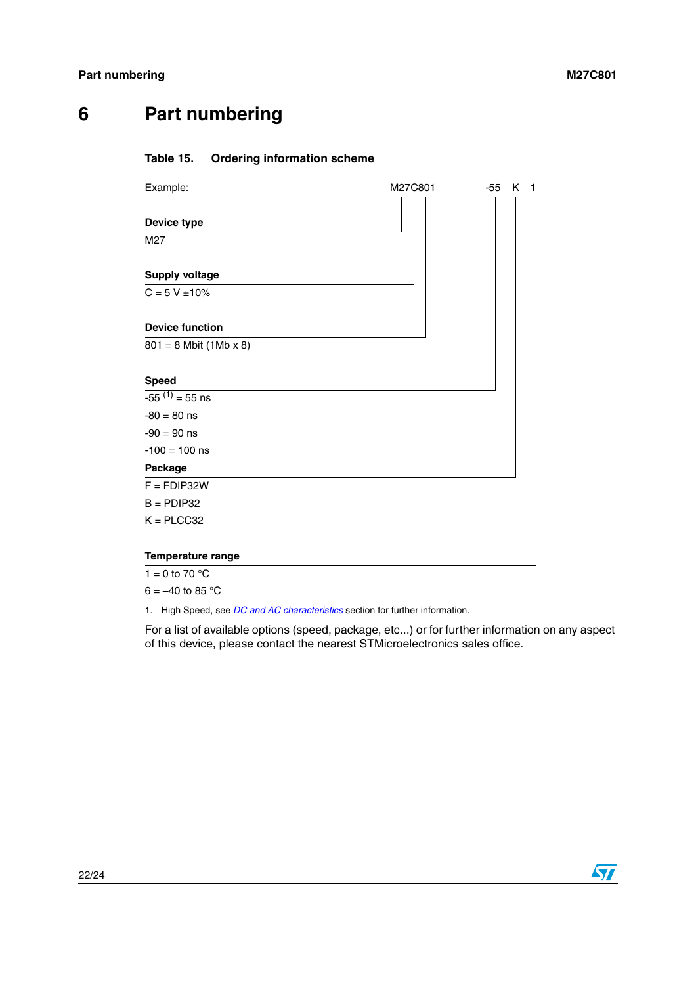## <span id="page-21-0"></span>**6 Part numbering**

#### <span id="page-21-1"></span>**Table 15. Ordering information scheme**

| Example:                 | M27C801 | $-55$ K 1 |
|--------------------------|---------|-----------|
|                          |         |           |
| Device type              |         |           |
| M27                      |         |           |
|                          |         |           |
| <b>Supply voltage</b>    |         |           |
| $C = 5 V \pm 10\%$       |         |           |
|                          |         |           |
| <b>Device function</b>   |         |           |
| $801 = 8$ Mbit (1Mb x 8) |         |           |
|                          |         |           |
| <b>Speed</b>             |         |           |
| $-55^{(1)} = 55$ ns      |         |           |
| $-80 = 80$ ns            |         |           |
| $-90 = 90$ ns            |         |           |
| $-100 = 100$ ns          |         |           |
| Package                  |         |           |
| $F = FDIP32W$            |         |           |
| $B =$ PDIP32             |         |           |
| $K = PLCC32$             |         |           |
| Temperature range        |         |           |
| 1 = 0 to 70 $^{\circ}$ C |         |           |

 $6 = -40$  to 85 °C

1. High Speed, see *[DC and AC characteristics](#page-12-0)* section for further information.

For a list of available options (speed, package, etc...) or for further information on any aspect of this device, please contact the nearest STMicroelectronics sales office.

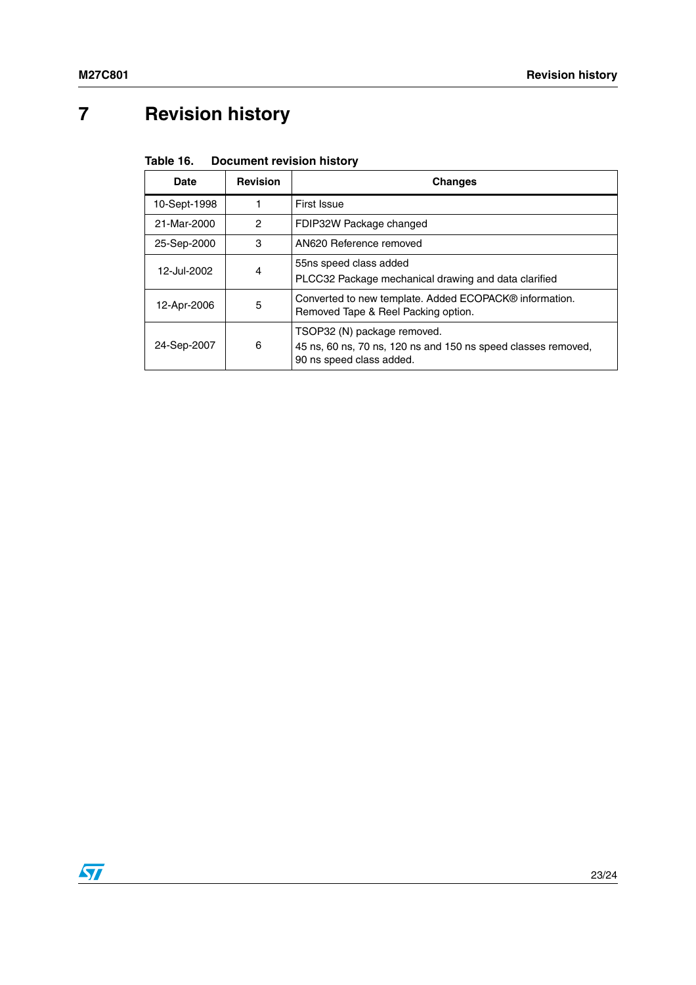# <span id="page-22-0"></span>**7 Revision history**

#### <span id="page-22-1"></span>Table 16. **Document revision history**

| Date         | <b>Revision</b> | <b>Changes</b>                                                                                                           |
|--------------|-----------------|--------------------------------------------------------------------------------------------------------------------------|
| 10-Sept-1998 |                 | First Issue                                                                                                              |
| 21-Mar-2000  | 2               | FDIP32W Package changed                                                                                                  |
| 25-Sep-2000  | 3               | AN620 Reference removed                                                                                                  |
| 12-Jul-2002  | 4               | 55ns speed class added<br>PLCC32 Package mechanical drawing and data clarified                                           |
| 12-Apr-2006  | 5               | Converted to new template. Added ECOPACK® information.<br>Removed Tape & Reel Packing option.                            |
| 24-Sep-2007  | 6               | TSOP32 (N) package removed.<br>45 ns, 60 ns, 70 ns, 120 ns and 150 ns speed classes removed,<br>90 ns speed class added. |